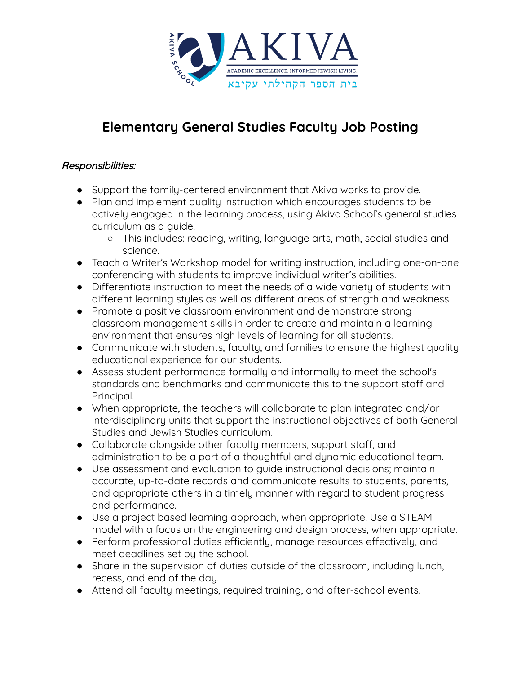

## **Elementary General Studies Faculty Job Posting**

## Responsibilities:

- Support the family-centered environment that Akiva works to provide.
- Plan and implement quality instruction which encourages students to be actively engaged in the learning process, using Akiva School's general studies curriculum as a guide.
	- This includes: reading, writing, language arts, math, social studies and science.
- Teach a Writer's Workshop model for writing instruction, including one-on-one conferencing with students to improve individual writer's abilities.
- Differentiate instruction to meet the needs of a wide variety of students with different learning styles as well as different areas of strength and weakness.
- Promote a positive classroom environment and demonstrate strong classroom management skills in order to create and maintain a learning environment that ensures high levels of learning for all students.
- Communicate with students, faculty, and families to ensure the highest quality educational experience for our students.
- Assess student performance formally and informally to meet the school's standards and benchmarks and communicate this to the support staff and Principal.
- When appropriate, the teachers will collaborate to plan integrated and/or interdisciplinary units that support the instructional objectives of both General Studies and Jewish Studies curriculum.
- Collaborate alongside other faculty members, support staff, and administration to be a part of a thoughtful and dynamic educational team.
- Use assessment and evaluation to guide instructional decisions; maintain accurate, up-to-date records and communicate results to students, parents, and appropriate others in a timely manner with regard to student progress and performance.
- Use a project based learning approach, when appropriate. Use a STEAM model with a focus on the engineering and design process, when appropriate.
- Perform professional duties efficiently, manage resources effectively, and meet deadlines set by the school.
- Share in the supervision of duties outside of the classroom, including lunch, recess, and end of the day.
- Attend all faculty meetings, required training, and after-school events.